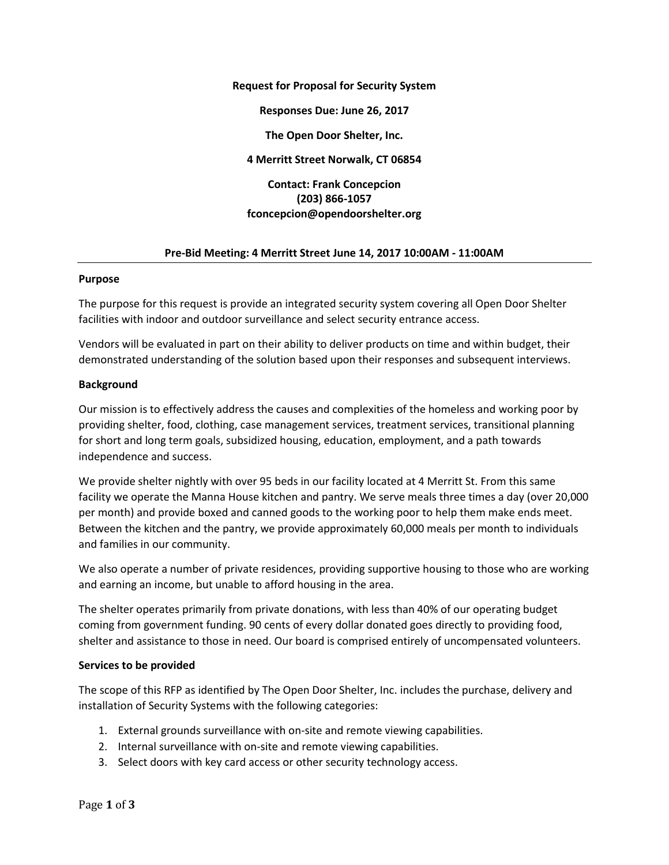**Request for Proposal for Security System**

**Responses Due: June 26, 2017**

**The Open Door Shelter, Inc.**

**4 Merritt Street Norwalk, CT 06854**

# **Contact: Frank Concepcion (203) 866-1057 fconcepcion@opendoorshelter.org**

#### **Pre-Bid Meeting: 4 Merritt Street June 14, 2017 10:00AM - 11:00AM**

#### **Purpose**

The purpose for this request is provide an integrated security system covering all Open Door Shelter facilities with indoor and outdoor surveillance and select security entrance access.

Vendors will be evaluated in part on their ability to deliver products on time and within budget, their demonstrated understanding of the solution based upon their responses and subsequent interviews.

#### **Background**

Our mission is to effectively address the causes and complexities of the homeless and working poor by providing shelter, food, clothing, case management services, treatment services, transitional planning for short and long term goals, subsidized housing, education, employment, and a path towards independence and success.

We provide shelter nightly with over 95 beds in our facility located at 4 Merritt St. From this same facility we operate the Manna House kitchen and pantry. We serve meals three times a day (over 20,000 per month) and provide boxed and canned goods to the working poor to help them make ends meet. Between the kitchen and the pantry, we provide approximately 60,000 meals per month to individuals and families in our community.

We also operate a number of private residences, providing supportive housing to those who are working and earning an income, but unable to afford housing in the area.

The shelter operates primarily from private donations, with less than 40% of our operating budget coming from government funding. 90 cents of every dollar donated goes directly to providing food, shelter and assistance to those in need. Our board is comprised entirely of uncompensated volunteers.

## **Services to be provided**

The scope of this RFP as identified by The Open Door Shelter, Inc. includes the purchase, delivery and installation of Security Systems with the following categories:

- 1. External grounds surveillance with on-site and remote viewing capabilities.
- 2. Internal surveillance with on-site and remote viewing capabilities.
- 3. Select doors with key card access or other security technology access.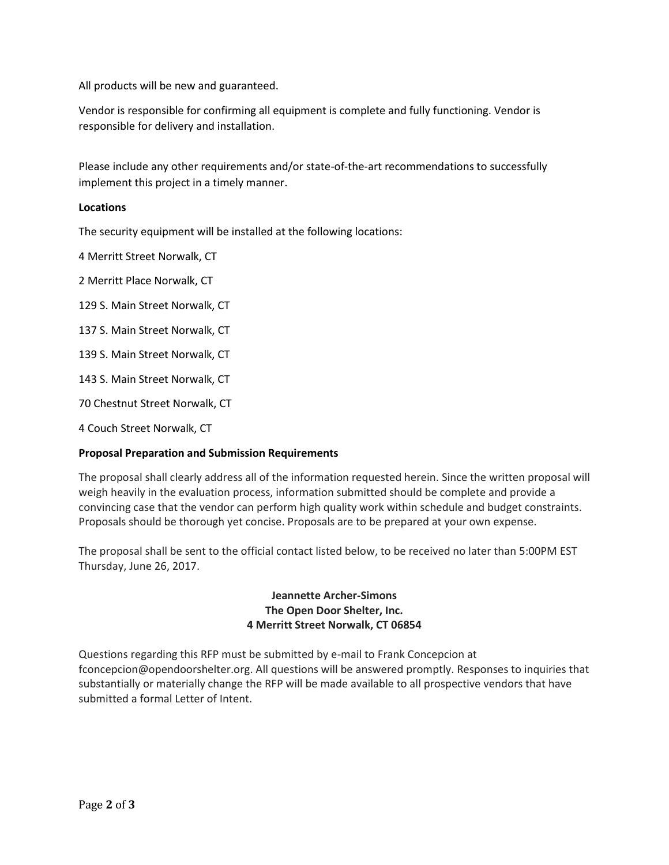All products will be new and guaranteed.

Vendor is responsible for confirming all equipment is complete and fully functioning. Vendor is responsible for delivery and installation.

Please include any other requirements and/or state-of-the-art recommendations to successfully implement this project in a timely manner.

## **Locations**

The security equipment will be installed at the following locations:

4 Merritt Street Norwalk, CT

2 Merritt Place Norwalk, CT

129 S. Main Street Norwalk, CT

137 S. Main Street Norwalk, CT

139 S. Main Street Norwalk, CT

143 S. Main Street Norwalk, CT

70 Chestnut Street Norwalk, CT

4 Couch Street Norwalk, CT

## **Proposal Preparation and Submission Requirements**

The proposal shall clearly address all of the information requested herein. Since the written proposal will weigh heavily in the evaluation process, information submitted should be complete and provide a convincing case that the vendor can perform high quality work within schedule and budget constraints. Proposals should be thorough yet concise. Proposals are to be prepared at your own expense.

The proposal shall be sent to the official contact listed below, to be received no later than 5:00PM EST Thursday, June 26, 2017.

# **Jeannette Archer-Simons The Open Door Shelter, Inc. 4 Merritt Street Norwalk, CT 06854**

Questions regarding this RFP must be submitted by e-mail to Frank Concepcion at [fconcepcion@opendoorshelter.org.](mailto:fconcepcion@opendoorshelter.org) All questions will be answered promptly. Responses to inquiries that substantially or materially change the RFP will be made available to all prospective vendors that have submitted a formal Letter of Intent.